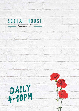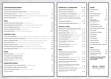# STARTERS/SHARE/NIBBLE

| Roasted garlic butter turkish loaf                                                          | 6    |
|---------------------------------------------------------------------------------------------|------|
| Chinese Sesame Fried garlic & ginger chicken with soy and kewpie mayo                       | 9    |
| Grilled haloumi cheese with wilted cherry tomatoes, fresh basil and olive oil               | 9.5  |
| Pistachio, lemon and saffron arancini stuffed with mozzarella and served with paprika aioli | 7    |
| Szechuan spiced squid with nahm jim dipping sauce                                           | 12.5 |

#### GRILL

| Aromatic Herb crusted Chicken breast with bernaise sauce                         | 25   |
|----------------------------------------------------------------------------------|------|
| Riverine 250g Grain fed Scotch fillet with a shiraz jus or button mushroom sauce | 32   |
| Riverine 400g grain fed T-bone with shiraz jus or button mushroom sauce          | 38   |
| Local line caught Fish of the day with citron butter                             | 30   |
| Slow braised pork rib with hickory smoked barbeque glaze                         | 35.5 |

#### COMFORT FOOD

| <b>Forest mushroom linguine</b> with zucchini ribbons, heirloom tomatoes, grana and virgin olive oil | 22   |
|------------------------------------------------------------------------------------------------------|------|
| Southern style fried chicken club sandwich with avocado, Smokey bacon and straight cut chips         | 19   |
| <b>American style beef burger</b> with bacon, American cheddar, lettuce and straight cut chips       | 19   |
| Chilli chicken burger with iceberg lettuce, Swiss cheese, aioli and straight cut chips               | 18   |
| <b>Japanese chicken schnitzel</b> with straight cut chips, house salad and gravy                     | 23   |
| Craft beer battered barramundi fillets with straight cut chips, and house salad                      | 22   |
| Sticky baby beetroot salad with farro, watercress, goats curd salad and zataar dressing              | 14.5 |

## SIDES

| <b>Buttered broccolini</b> with crushed almonds    | 8   |
|----------------------------------------------------|-----|
| Vine ripened tomato basil fetta salad              | 8.5 |
| Lemon thyme scented kipfler potato                 | 8   |
| <b>Straight cut chips</b> with garlic & lime aioli | 6.5 |
|                                                    |     |

### SOMETHING SWEET

| Salted caramel & oreo ice cream sandwich with raspberry sauce     | 12 |
|-------------------------------------------------------------------|----|
| Three Australian cheeses, quince and crackers                     | 15 |
| <b>Soft centred chocolate fondant</b> with vanilla bean ice cream | 13 |
| Trio of ice creams                                                | 8  |

| <b>SPARKLING &amp; CHAMPAGNE</b>                                          | G   | в   |
|---------------------------------------------------------------------------|-----|-----|
| DeBortoli Bancroft Bridge Brut                                            | 8   | 30  |
| <b>DIVICI Prosecco DOC Organic, Italy</b>                                 | 10  | 44  |
| Veuve D'Argent Cuvee Prestige Blanc, France                               |     | 44  |
| Flore Pink Moscato, Oatley Wines, Australia                               | 8   | 32  |
| Grandin Methode Traditionnelle Brut 200ml,<br>France                      |     | 14  |
| Stormbay NV Sparkling, TAS                                                | 10  | 45  |
| Cremant de Bourgogne Blanc Brut NV, France                                |     | 60  |
| <b>WHITES &amp; ROSE</b>                                                  |     |     |
| DeBortoli Bancroft Sauvignon Blanc Semillon                               | 7   | 29  |
| Vine Mind Riesling Clare Valley, SA                                       | 9   | 41  |
| Wild Oats Pinot Grigio Mudgee, NSW                                        | 8   | 36  |
| Ara 'Single Estate' Pinot Gris Marlborough, NZ                            | 8   | 37  |
| Tai Nui, Sauvignon Blanc Marlborough, NZ                                  | 9   | 39  |
| First Creek Semillon Hunter Valley, NSW                                   | 7   | 40  |
| The Lane 'Block 1' Chardonnay<br>Adelaide Hills, SA                       | 10  | 40  |
| <b>Montrose Chardonnay</b> Mudgee, NSW                                    | 8   | 35  |
| Reverie Rose Pays d'Oc, France                                            | 9   | 40  |
| REDS                                                                      |     |     |
| DeBortoli Bancroft Cabernet Merlot                                        | 7   | 29  |
| TarraWarra Estate Pinot Noir<br>Yarra Valley, VIC 2016                    | 11. | 50  |
| Robert Oatley 'GSM' McLaren Vale, SA 2017                                 | 10  | 45  |
| Barry Brothers Shiraz Cabernet Sav, SA 2017                               | 11. | 50  |
| <b>Rymill, The Dark Horse Cabernet Sav</b><br>Coonawarra, SA 2017         | 10  | 42  |
| Pikes 'The Assemblage' Shiraz Mourvedre<br>Grenache Clare Valley, SA 2017 | 11. | 50. |

**Brokenwood Cab. Sav. Merlot 8 Rows**, NSW 2016 **50**

**Hentley Farm Villain & Vixen Shiraz**  Barossa, SA 2017 **9 45**



#### BEERS

| Asahi Super Dry                                           | 10    |
|-----------------------------------------------------------|-------|
| Corona                                                    | 10    |
| <b>Peroni Nastro Azzuro</b>                               | 10    |
| <b>Sapporo Premium</b>                                    | 10    |
| <b>Becks</b>                                              | 10    |
| <b>James Squire</b><br>150 Lashes Pale Ale<br>425ml/500ml | 10/12 |
| Hahn Super Dry 425ml                                      | 9     |
| <b>Cascade Premium Light</b>                              | 7     |
| James Boags Premium Lager                                 | 8     |
| <b>Crown Lager</b>                                        | 8     |
| <b>Great Northern Original</b>                            | 8     |
| <b>Victoria Bitter</b>                                    | 8     |
| <b>Pure Blonde</b>                                        | 8     |
| 4 Pines Kolsch                                            | 10    |
| <b>Coopers Pale Ale</b>                                   | 9.5   |
| <b>Moo Brew Pilsner</b>                                   | 10    |
| <b>Somersby Cider Apple or Pear 8.5</b>                   |       |

## SOFT

| <b>Soft drinks &amp; Juices</b>        | 4.5 |
|----------------------------------------|-----|
| <b>Lemon Lime &amp; Bitters</b>        | 4.9 |
| Sparkling & Still water<br>350ml/750ml | 5/7 |

**Cocktails and spirits available. Please ask your friendly team member.**